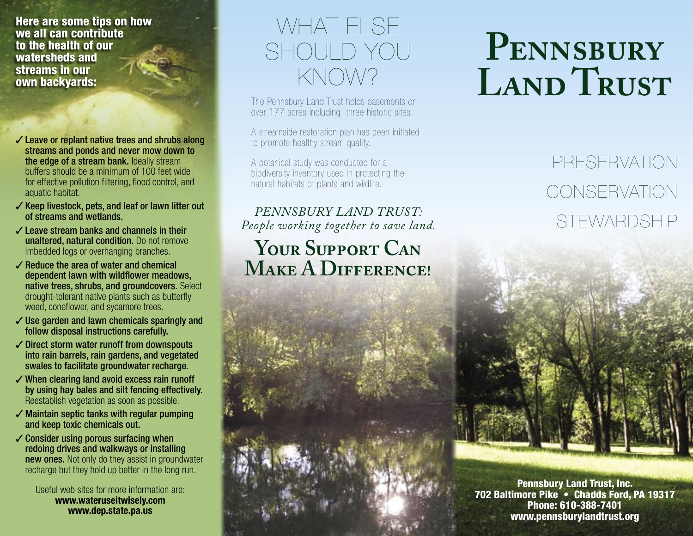Here are some tips on how we all can contribute to the health of our watersheds and streams in our own backyards:

- $\checkmark$  Leave or replant native trees and shrubs along streams and ponds and never mow down to the edge of a stream bank. Ideally stream buffers should be a minimum of 100 feet wide for effective pollution filtering, flood control, and aquatic habitat.
- ✓ Keep livestock, pets, and leaf or lawn litter out of streams and wetlands.
- ✓ Leave stream banks and channels in their unaltered, natural condition. Do not remove imbedded logs or overhanging branches.
- $\checkmark$  Reduce the area of water and chemical dependent lawn with wildflower meadows, native trees, shrubs, and groundcovers. Select drought-tolerant native plants such as butterfly weed, coneflower, and sycamore trees.
- ✓ Use garden and lawn chemicals sparingly and follow disposal instructions carefully.
- ✓ Direct storm water runoff from downspouts into rain barrels, rain gardens, and vegetated swales to facilitate groundwater recharge.
- ✓ When clearing land avoid excess rain runoff by using hay bales and silt fencing effectively. Reestablish vegetation as soon as possible.
- $\checkmark$  Maintain septic tanks with regular pumping and keep toxic chemicals out.
- $\checkmark$  Consider using porous surfacing when redoing drives and walkways or installing new ones. Not only do they assist in groundwater recharge but they hold up better in the long run.

Useful web sites for more information are: **www.wateruseitwisely.com www.dep.state.pa.us**

## WHAT ELSE SHOULD YOU KNOW?

The Pennsbury Land Trust holds easements on over 177 acres including three historic sites.

A streamside restoration plan has been initiated to promote healthy stream quality.

A botanical study was conducted for a biodiversity inventory used in protecting the natural habitats of plants and wildlife.

#### *PENNSBURY LAND TRUST: People working together to save land.*

#### YOUR SUPPORT CAN **MAKE A DIFFERENCE!**

# **PENNSBURY LAND TRUST**

# PRESERVATION **CONSERVATION** STEWARDSHIP

Pennsbury Land Trust, Inc. 702 Baltimore Pike • Chadds Ford, PA 19317 Phone: 610-388-7401 www.pennsburylandtrust.org